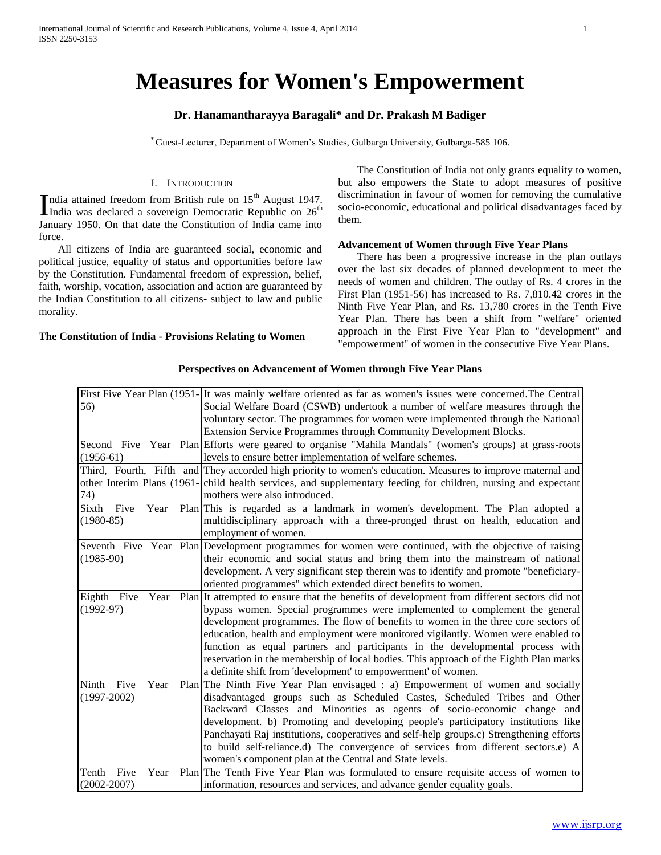# **Measures for Women's Empowerment**

# **Dr. Hanamantharayya Baragali\* and Dr. Prakash M Badiger**

\* Guest-Lecturer, Department of Women's Studies, Gulbarga University, Gulbarga-585 106.

#### I. INTRODUCTION

ndia attained freedom from British rule on  $15<sup>th</sup>$  August 1947. India attained freedom from British rule on  $15<sup>th</sup>$  August 1947.<br>India was declared a sovereign Democratic Republic on  $26<sup>th</sup>$ January 1950. On that date the Constitution of India came into force.

 All citizens of India are guaranteed social, economic and political justice, equality of status and opportunities before law by the Constitution. Fundamental freedom of expression, belief, faith, worship, vocation, association and action are guaranteed by the Indian Constitution to all citizens- subject to law and public morality.

#### **The Constitution of India - Provisions Relating to Women**

 The Constitution of India not only grants equality to women, but also empowers the State to adopt measures of positive discrimination in favour of women for removing the cumulative socio-economic, educational and political disadvantages faced by them.

#### **Advancement of Women through Five Year Plans**

 There has been a progressive increase in the plan outlays over the last six decades of planned development to meet the needs of women and children. The outlay of Rs. 4 crores in the First Plan (1951-56) has increased to Rs. 7,810.42 crores in the Ninth Five Year Plan, and Rs. 13,780 crores in the Tenth Five Year Plan. There has been a shift from "welfare" oriented approach in the First Five Year Plan to "development" and "empowerment" of women in the consecutive Five Year Plans.

|                                      | First Five Year Plan (1951- It was mainly welfare oriented as far as women's issues were concerned. The Central                                                                           |
|--------------------------------------|-------------------------------------------------------------------------------------------------------------------------------------------------------------------------------------------|
| 56)                                  | Social Welfare Board (CSWB) undertook a number of welfare measures through the                                                                                                            |
|                                      | voluntary sector. The programmes for women were implemented through the National                                                                                                          |
|                                      | Extension Service Programmes through Community Development Blocks.                                                                                                                        |
|                                      | Second Five Year Plan Efforts were geared to organise "Mahila Mandals" (women's groups) at grass-roots                                                                                    |
| $(1956-61)$                          | levels to ensure better implementation of welfare schemes.                                                                                                                                |
|                                      | Third, Fourth, Fifth and They accorded high priority to women's education. Measures to improve maternal and                                                                               |
|                                      | other Interim Plans (1961-child health services, and supplementary feeding for children, nursing and expectant                                                                            |
| 74)                                  | mothers were also introduced.                                                                                                                                                             |
| Sixth<br>Five<br>Year<br>$(1980-85)$ | Plan This is regarded as a landmark in women's development. The Plan adopted a<br>multidisciplinary approach with a three-pronged thrust on health, education and<br>employment of women. |
|                                      | Seventh Five Year Plan Development programmes for women were continued, with the objective of raising                                                                                     |
| $(1985-90)$                          | their economic and social status and bring them into the mainstream of national                                                                                                           |
|                                      | development. A very significant step therein was to identify and promote "beneficiary-                                                                                                    |
|                                      | oriented programmes" which extended direct benefits to women.                                                                                                                             |
| Eighth Five<br>Year                  | Plan It attempted to ensure that the benefits of development from different sectors did not                                                                                               |
| $(1992-97)$                          | bypass women. Special programmes were implemented to complement the general                                                                                                               |
|                                      | development programmes. The flow of benefits to women in the three core sectors of                                                                                                        |
|                                      | education, health and employment were monitored vigilantly. Women were enabled to                                                                                                         |
|                                      | function as equal partners and participants in the developmental process with                                                                                                             |
|                                      | reservation in the membership of local bodies. This approach of the Eighth Plan marks                                                                                                     |
|                                      | a definite shift from 'development' to empowerment' of women.                                                                                                                             |
| Ninth Five<br>Year                   | Plan The Ninth Five Year Plan envisaged : a) Empowerment of women and socially                                                                                                            |
| $(1997-2002)$                        | disadvantaged groups such as Scheduled Castes, Scheduled Tribes and Other                                                                                                                 |
|                                      | Backward Classes and Minorities as agents of socio-economic change and                                                                                                                    |
|                                      | development. b) Promoting and developing people's participatory institutions like                                                                                                         |
|                                      | Panchayati Raj institutions, cooperatives and self-help groups.c) Strengthening efforts                                                                                                   |
|                                      | to build self-reliance.d) The convergence of services from different sectors.e) A                                                                                                         |
|                                      | women's component plan at the Central and State levels.                                                                                                                                   |
| Tenth<br>Five<br>Year                | Plan The Tenth Five Year Plan was formulated to ensure requisite access of women to                                                                                                       |
| $(2002 - 2007)$                      | information, resources and services, and advance gender equality goals.                                                                                                                   |

#### **Perspectives on Advancement of Women through Five Year Plans**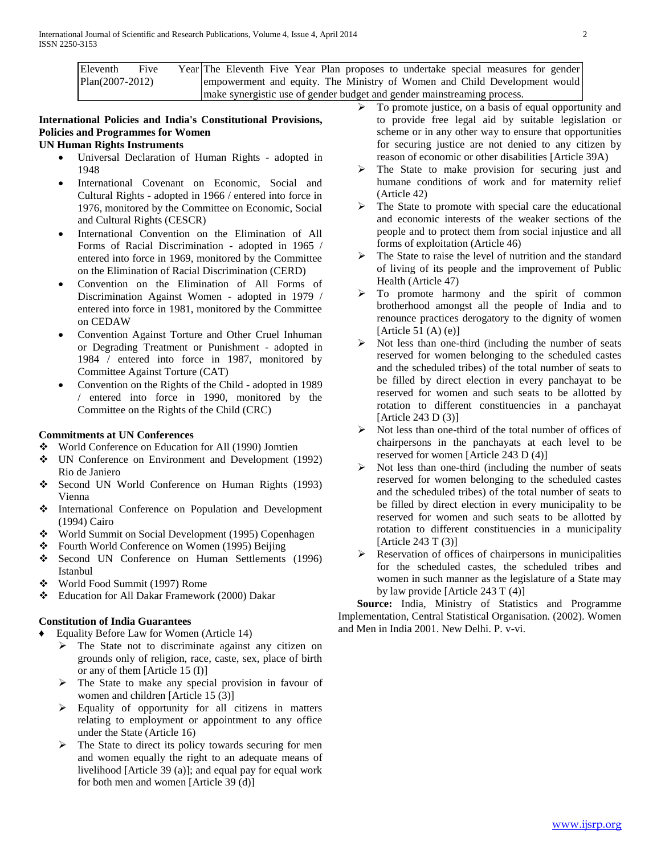| Eleventh                                                                | Five |  |  |  |  |  |  |  |  |  | Year The Eleventh Five Year Plan proposes to undertake special measures for gender |  |  |
|-------------------------------------------------------------------------|------|--|--|--|--|--|--|--|--|--|------------------------------------------------------------------------------------|--|--|
| Plan(2007-2012)                                                         |      |  |  |  |  |  |  |  |  |  | empowerment and equity. The Ministry of Women and Child Development would          |  |  |
| make synergistic use of gender budget and gender mainstreaming process. |      |  |  |  |  |  |  |  |  |  |                                                                                    |  |  |

# **International Policies and India's Constitutional Provisions, Policies and Programmes for Women**

# **UN Human Rights Instruments**

- Universal Declaration of Human Rights adopted in 1948
- International Covenant on Economic, Social and Cultural Rights - adopted in 1966 / entered into force in 1976, monitored by the Committee on Economic, Social and Cultural Rights (CESCR)
- International Convention on the Elimination of All Forms of Racial Discrimination - adopted in 1965 / entered into force in 1969, monitored by the Committee on the Elimination of Racial Discrimination (CERD)
- Convention on the Elimination of All Forms of Discrimination Against Women - adopted in 1979 / entered into force in 1981, monitored by the Committee on CEDAW
- Convention Against Torture and Other Cruel Inhuman or Degrading Treatment or Punishment - adopted in 1984 / entered into force in 1987, monitored by Committee Against Torture (CAT)
- Convention on the Rights of the Child adopted in 1989 / entered into force in 1990, monitored by the Committee on the Rights of the Child (CRC)

# **Commitments at UN Conferences**

- World Conference on Education for All (1990) Jomtien
- UN Conference on Environment and Development (1992) Rio de Janiero
- Second UN World Conference on Human Rights (1993) Vienna
- International Conference on Population and Development (1994) Cairo
- World Summit on Social Development (1995) Copenhagen
- Fourth World Conference on Women (1995) Beijing
- Second UN Conference on Human Settlements (1996) Istanbul
- World Food Summit (1997) Rome
- Education for All Dakar Framework (2000) Dakar

# **Constitution of India Guarantees**

- ♦ Equality Before Law for Women (Article 14)
	- $\triangleright$  The State not to discriminate against any citizen on grounds only of religion, race, caste, sex, place of birth or any of them [Article 15 (I)]
	- $\triangleright$  The State to make any special provision in favour of women and children [Article 15 (3)]
	- $\triangleright$  Equality of opportunity for all citizens in matters relating to employment or appointment to any office under the State (Article 16)
	- $\triangleright$  The State to direct its policy towards securing for men and women equally the right to an adequate means of livelihood [Article 39 (a)]; and equal pay for equal work for both men and women [Article 39 (d)]
- To promote justice, on a basis of equal opportunity and to provide free legal aid by suitable legislation or scheme or in any other way to ensure that opportunities for securing justice are not denied to any citizen by reason of economic or other disabilities [Article 39A)
- $\triangleright$  The State to make provision for securing just and humane conditions of work and for maternity relief (Article 42)
- $\triangleright$  The State to promote with special care the educational and economic interests of the weaker sections of the people and to protect them from social injustice and all forms of exploitation (Article 46)
- The State to raise the level of nutrition and the standard of living of its people and the improvement of Public Health (Article 47)
- $\triangleright$  To promote harmony and the spirit of common brotherhood amongst all the people of India and to renounce practices derogatory to the dignity of women [Article 51 $(A)$  $(e)$ ]
- $\triangleright$  Not less than one-third (including the number of seats reserved for women belonging to the scheduled castes and the scheduled tribes) of the total number of seats to be filled by direct election in every panchayat to be reserved for women and such seats to be allotted by rotation to different constituencies in a panchayat [Article 243 D (3)]
- $\triangleright$  Not less than one-third of the total number of offices of chairpersons in the panchayats at each level to be reserved for women [Article 243 D (4)]
- Not less than one-third (including the number of seats reserved for women belonging to the scheduled castes and the scheduled tribes) of the total number of seats to be filled by direct election in every municipality to be reserved for women and such seats to be allotted by rotation to different constituencies in a municipality [Article 243 T (3)]
- $\triangleright$  Reservation of offices of chairpersons in municipalities for the scheduled castes, the scheduled tribes and women in such manner as the legislature of a State may by law provide [Article 243 T (4)]

 **Source:** India, Ministry of Statistics and Programme Implementation, Central Statistical Organisation. (2002). Women and Men in India 2001. New Delhi. P. v-vi.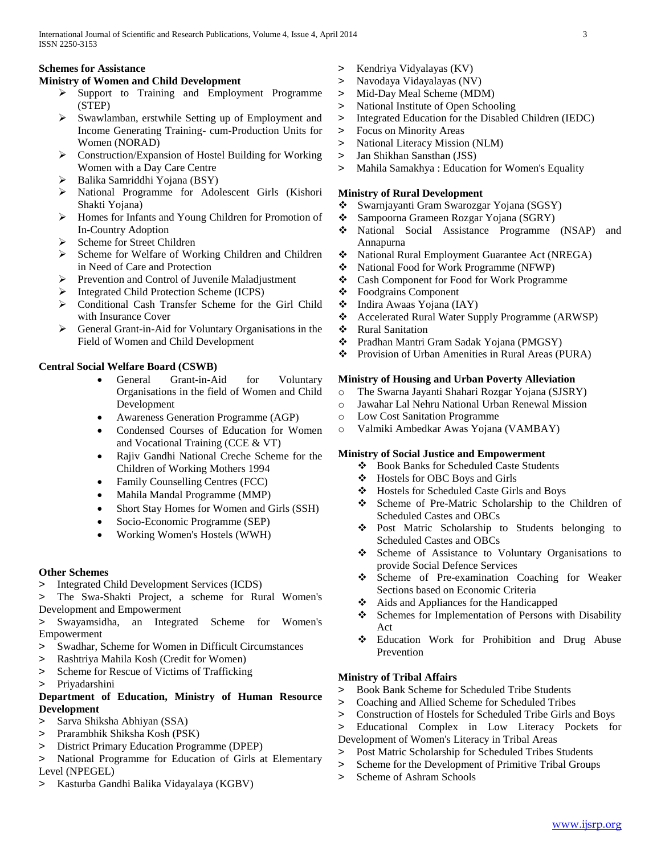# **Schemes for Assistance**

# **Ministry of Women and Child Development**

- $\triangleright$  Support to Training and Employment Programme (STEP)
- Swawlamban, erstwhile Setting up of Employment and Income Generating Training- cum-Production Units for Women (NORAD)
- Construction/Expansion of Hostel Building for Working Women with a Day Care Centre
- $\triangleright$  Balika Samriddhi Yojana (BSY)
- National Programme for Adolescent Girls (Kishori Shakti Yojana)
- > Homes for Infants and Young Children for Promotion of In-Country Adoption
- Scheme for Street Children
- > Scheme for Welfare of Working Children and Children in Need of Care and Protection
- Prevention and Control of Juvenile Maladjustment
- $\triangleright$  Integrated Child Protection Scheme (ICPS)
- Conditional Cash Transfer Scheme for the Girl Child with Insurance Cover
- General Grant-in-Aid for Voluntary Organisations in the Field of Women and Child Development

# **Central Social Welfare Board (CSWB)**

- General Grant-in-Aid for Voluntary Organisations in the field of Women and Child Development
- Awareness Generation Programme (AGP)
- Condensed Courses of Education for Women and Vocational Training (CCE & VT)
- Rajiv Gandhi National Creche Scheme for the Children of Working Mothers 1994
- Family Counselling Centres (FCC)
- Mahila Mandal Programme (MMP)
- Short Stay Homes for Women and Girls (SSH)
- Socio-Economic Programme (SEP)
- Working Women's Hostels (WWH)

#### **Other Schemes**

- > Integrated Child Development Services (ICDS)
- The Swa-Shakti Project, a scheme for Rural Women's Development and Empowerment
- > Swayamsidha, an Integrated Scheme for Women's Empowerment
- > Swadhar, Scheme for Women in Difficult Circumstances
- > Rashtriya Mahila Kosh (Credit for Women)
- > Scheme for Rescue of Victims of Trafficking
- > Priyadarshini

# **Department of Education, Ministry of Human Resource Development**

- > Sarva Shiksha Abhiyan (SSA)
- > Prarambhik Shiksha Kosh (PSK)
- > District Primary Education Programme (DPEP)
- > National Programme for Education of Girls at Elementary Level (NPEGEL)
- > Kasturba Gandhi Balika Vidayalaya (KGBV)
- > Kendriya Vidyalayas (KV)
- > Navodaya Vidayalayas (NV)
- > Mid-Day Meal Scheme (MDM)
- > National Institute of Open Schooling
- > Integrated Education for the Disabled Children (IEDC)
- > Focus on Minority Areas
- > National Literacy Mission (NLM)
- > Jan Shikhan Sansthan (JSS)
- > Mahila Samakhya : Education for Women's Equality

## **Ministry of Rural Development**

- Swarnjayanti Gram Swarozgar Yojana (SGSY)
- Sampoorna Grameen Rozgar Yojana (SGRY)
- National Social Assistance Programme (NSAP) and Annapurna
- National Rural Employment Guarantee Act (NREGA)
- ◆ National Food for Work Programme (NFWP)
- Cash Component for Food for Work Programme
- Foodgrains Component
- Indira Awaas Yojana (IAY)
- Accelerated Rural Water Supply Programme (ARWSP)
- Rural Sanitation
- Pradhan Mantri Gram Sadak Yojana (PMGSY)
- Provision of Urban Amenities in Rural Areas (PURA)

#### **Ministry of Housing and Urban Poverty Alleviation**

- o The Swarna Jayanti Shahari Rozgar Yojana (SJSRY)
- o Jawahar Lal Nehru National Urban Renewal Mission
- o Low Cost Sanitation Programme
- o Valmiki Ambedkar Awas Yojana (VAMBAY)

# **Ministry of Social Justice and Empowerment**

- Book Banks for Scheduled Caste Students
- Hostels for OBC Boys and Girls
- Hostels for Scheduled Caste Girls and Boys
- Scheme of Pre-Matric Scholarship to the Children of Scheduled Castes and OBCs
- Post Matric Scholarship to Students belonging to Scheduled Castes and OBCs
- Scheme of Assistance to Voluntary Organisations to provide Social Defence Services
- Scheme of Pre-examination Coaching for Weaker Sections based on Economic Criteria
- ❖ Aids and Appliances for the Handicapped
- Schemes for Implementation of Persons with Disability Act
- Education Work for Prohibition and Drug Abuse Prevention

# **Ministry of Tribal Affairs**

- > Book Bank Scheme for Scheduled Tribe Students
- > Coaching and Allied Scheme for Scheduled Tribes
- > Construction of Hostels for Scheduled Tribe Girls and Boys
- > Educational Complex in Low Literacy Pockets for Development of Women's Literacy in Tribal Areas
- > Post Matric Scholarship for Scheduled Tribes Students
- > Scheme for the Development of Primitive Tribal Groups
- > Scheme of Ashram Schools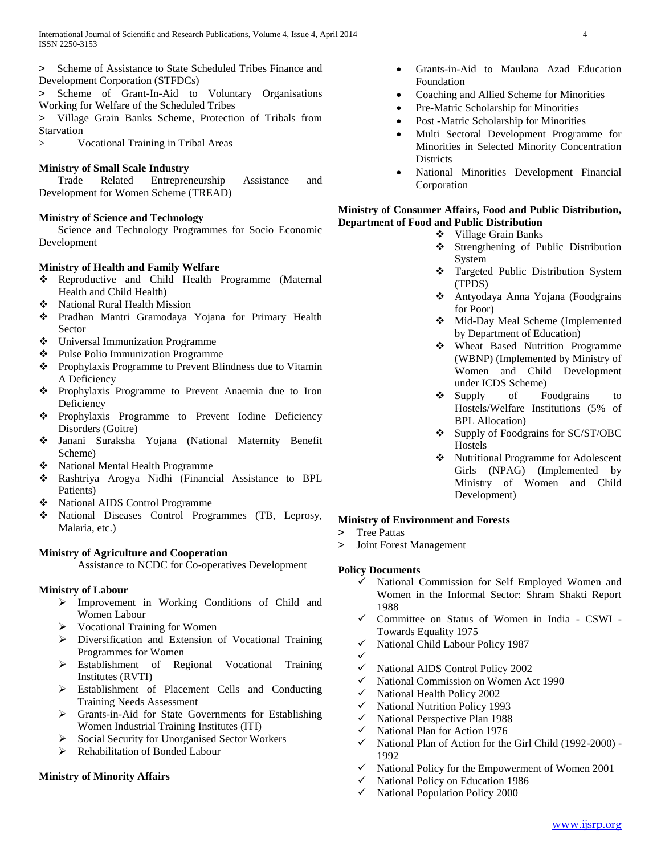- > Scheme of Assistance to State Scheduled Tribes Finance and Development Corporation (STFDCs)
- > Scheme of Grant-In-Aid to Voluntary Organisations Working for Welfare of the Scheduled Tribes
- > Village Grain Banks Scheme, Protection of Tribals from Starvation
- > Vocational Training in Tribal Areas

# **Ministry of Small Scale Industry**

 Trade Related Entrepreneurship Assistance and Development for Women Scheme (TREAD)

# **Ministry of Science and Technology**

 Science and Technology Programmes for Socio Economic Development

# **Ministry of Health and Family Welfare**

- \* Reproductive and Child Health Programme (Maternal Health and Child Health)
- National Rural Health Mission
- Pradhan Mantri Gramodaya Yojana for Primary Health Sector
- Universal Immunization Programme
- ❖ Pulse Polio Immunization Programme
- \* Prophylaxis Programme to Prevent Blindness due to Vitamin A Deficiency
- Prophylaxis Programme to Prevent Anaemia due to Iron Deficiency
- \* Prophylaxis Programme to Prevent Iodine Deficiency Disorders (Goitre)
- Janani Suraksha Yojana (National Maternity Benefit Scheme)
- National Mental Health Programme
- Rashtriya Arogya Nidhi (Financial Assistance to BPL Patients)
- National AIDS Control Programme
- National Diseases Control Programmes (TB, Leprosy, Malaria, etc.)

# **Ministry of Agriculture and Cooperation**

Assistance to NCDC for Co-operatives Development

# **Ministry of Labour**

- Improvement in Working Conditions of Child and Women Labour
- $\triangleright$  Vocational Training for Women
- Diversification and Extension of Vocational Training Programmes for Women
- Establishment of Regional Vocational Training Institutes (RVTI)
- Establishment of Placement Cells and Conducting Training Needs Assessment
- Grants-in-Aid for State Governments for Establishing Women Industrial Training Institutes (ITI)
- Social Security for Unorganised Sector Workers
- $\triangleright$  Rehabilitation of Bonded Labour

# **Ministry of Minority Affairs**

- Grants-in-Aid to Maulana Azad Education Foundation
- Coaching and Allied Scheme for Minorities
- Pre-Matric Scholarship for Minorities
- Post -Matric Scholarship for Minorities
- Multi Sectoral Development Programme for Minorities in Selected Minority Concentration **Districts**
- National Minorities Development Financial Corporation

#### **Ministry of Consumer Affairs, Food and Public Distribution, Department of Food and Public Distribution**

- ❖ Village Grain Banks
- Strengthening of Public Distribution System
- \* Targeted Public Distribution System (TPDS)
- Antyodaya Anna Yojana (Foodgrains for Poor)
- Mid-Day Meal Scheme (Implemented by Department of Education)
- Wheat Based Nutrition Programme (WBNP) (Implemented by Ministry of Women and Child Development under ICDS Scheme)
- Supply of Foodgrains to Hostels/Welfare Institutions (5% of BPL Allocation)
- Supply of Foodgrains for SC/ST/OBC Hostels
- Nutritional Programme for Adolescent Girls (NPAG) (Implemented by Ministry of Women and Child Development)

# **Ministry of Environment and Forests**

- > Tree Pattas
- > Joint Forest Management

# **Policy Documents**

- National Commission for Self Employed Women and Women in the Informal Sector: Shram Shakti Report 1988
- Committee on Status of Women in India CSWI Towards Equality 1975
- $\checkmark$  National Child Labour Policy 1987
- ✓
- $\checkmark$  National AIDS Control Policy 2002
- $\checkmark$  National Commission on Women Act 1990
- $\checkmark$  National Health Policy 2002
- $\checkmark$  National Nutrition Policy 1993
- $\checkmark$  National Perspective Plan 1988
- National Plan for Action 1976
- $\checkmark$  National Plan of Action for the Girl Child (1992-2000) -1992
- $\checkmark$  National Policy for the Empowerment of Women 2001
- $\checkmark$  National Policy on Education 1986
- National Population Policy 2000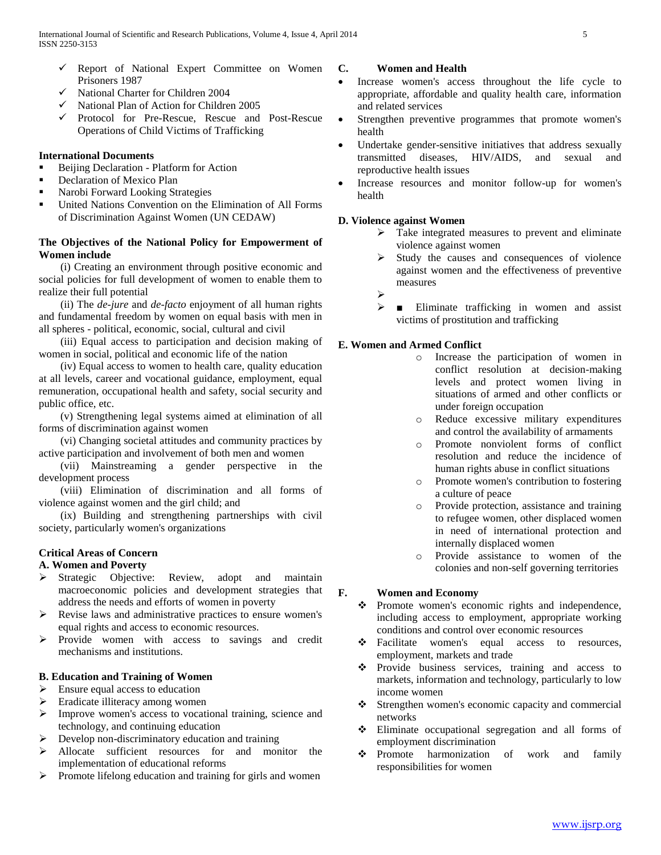- $\checkmark$  Report of National Expert Committee on Women Prisoners 1987
- $\checkmark$  National Charter for Children 2004
- $\checkmark$  National Plan of Action for Children 2005
- Protocol for Pre-Rescue, Rescue and Post-Rescue Operations of Child Victims of Trafficking

## **International Documents**

- Beijing Declaration Platform for Action
- Declaration of Mexico Plan
- Narobi Forward Looking Strategies
- United Nations Convention on the Elimination of All Forms of Discrimination Against Women (UN CEDAW)

# **The Objectives of the National Policy for Empowerment of Women include**

 (i) Creating an environment through positive economic and social policies for full development of women to enable them to realize their full potential

 (ii) The *de-jure* and *de-facto* enjoyment of all human rights and fundamental freedom by women on equal basis with men in all spheres - political, economic, social, cultural and civil

 (iii) Equal access to participation and decision making of women in social, political and economic life of the nation

 (iv) Equal access to women to health care, quality education at all levels, career and vocational guidance, employment, equal remuneration, occupational health and safety, social security and public office, etc.

 (v) Strengthening legal systems aimed at elimination of all forms of discrimination against women

 (vi) Changing societal attitudes and community practices by active participation and involvement of both men and women

 (vii) Mainstreaming a gender perspective in the development process

 (viii) Elimination of discrimination and all forms of violence against women and the girl child; and

 (ix) Building and strengthening partnerships with civil society, particularly women's organizations

# **Critical Areas of Concern**

# **A. Women and Poverty**

- Strategic Objective: Review, adopt and maintain macroeconomic policies and development strategies that address the needs and efforts of women in poverty
- $\triangleright$  Revise laws and administrative practices to ensure women's equal rights and access to economic resources.
- > Provide women with access to savings and credit mechanisms and institutions.

# **B. Education and Training of Women**

- $\triangleright$  Ensure equal access to education
- Eradicate illiteracy among women
- Improve women's access to vocational training, science and technology, and continuing education
- Develop non-discriminatory education and training
- Allocate sufficient resources for and monitor the implementation of educational reforms
- $\triangleright$  Promote lifelong education and training for girls and women

#### **C. Women and Health**

- Increase women's access throughout the life cycle to appropriate, affordable and quality health care, information and related services
- Strengthen preventive programmes that promote women's health
- Undertake gender-sensitive initiatives that address sexually transmitted diseases, HIV/AIDS, and sexual and reproductive health issues
- Increase resources and monitor follow-up for women's health

# **D. Violence against Women**

- $\triangleright$  Take integrated measures to prevent and eliminate violence against women
- Study the causes and consequences of violence against women and the effectiveness of preventive measures
- ➤
- $\triangleright$  **Eliminate trafficking in women and assist** victims of prostitution and trafficking

# **E. Women and Armed Conflict**

- o Increase the participation of women in conflict resolution at decision-making levels and protect women living in situations of armed and other conflicts or under foreign occupation
- o Reduce excessive military expenditures and control the availability of armaments
- o Promote nonviolent forms of conflict resolution and reduce the incidence of human rights abuse in conflict situations
- o Promote women's contribution to fostering a culture of peace
- o Provide protection, assistance and training to refugee women, other displaced women in need of international protection and internally displaced women
- o Provide assistance to women of the colonies and non-self governing territories

# **F. Women and Economy**

- \* Promote women's economic rights and independence, including access to employment, appropriate working conditions and control over economic resources
- \* Facilitate women's equal access to resources, employment, markets and trade
- \* Provide business services, training and access to markets, information and technology, particularly to low income women
- Strengthen women's economic capacity and commercial networks
- $\div$  Eliminate occupational segregation and all forms of employment discrimination
- Promote harmonization of work and family responsibilities for women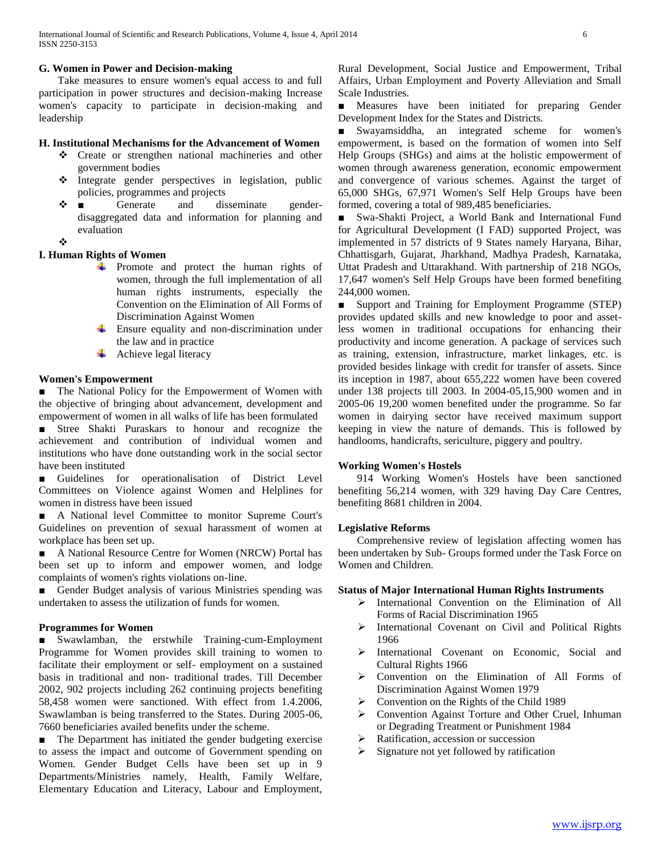#### **G. Women in Power and Decision-making**

 Take measures to ensure women's equal access to and full participation in power structures and decision-making Increase women's capacity to participate in decision-making and leadership

# **H. Institutional Mechanisms for the Advancement of Women**

- Create or strengthen national machineries and other government bodies
- $\triangleleft$  Integrate gender perspectives in legislation, public policies, programmes and projects
- $\mathbf{\hat{\cdot}}$  **I** Generate and disseminate genderdisaggregated data and information for planning and evaluation
- ❖

# **I. Human Rights of Women**

- **+** Promote and protect the human rights of women, through the full implementation of all human rights instruments, especially the Convention on the Elimination of All Forms of Discrimination Against Women
- $\overline{\phantom{a}}$  Ensure equality and non-discrimination under the law and in practice
- $\overline{\phantom{a}}$  Achieve legal literacy

## **Women's Empowerment**

■ The National Policy for the Empowerment of Women with the objective of bringing about advancement, development and empowerment of women in all walks of life has been formulated

■ Stree Shakti Puraskars to honour and recognize the achievement and contribution of individual women and institutions who have done outstanding work in the social sector have been instituted

Guidelines for operationalisation of District Level Committees on Violence against Women and Helplines for women in distress have been issued

■ A National level Committee to monitor Supreme Court's Guidelines on prevention of sexual harassment of women at workplace has been set up.

■ A National Resource Centre for Women (NRCW) Portal has been set up to inform and empower women, and lodge complaints of women's rights violations on-line.

■ Gender Budget analysis of various Ministries spending was undertaken to assess the utilization of funds for women.

#### **Programmes for Women**

■ Swawlamban, the erstwhile Training-cum-Employment Programme for Women provides skill training to women to facilitate their employment or self- employment on a sustained basis in traditional and non- traditional trades. Till December 2002, 902 projects including 262 continuing projects benefiting 58,458 women were sanctioned. With effect from 1.4.2006, Swawlamban is being transferred to the States. During 2005-06, 7660 beneficiaries availed benefits under the scheme.

■ The Department has initiated the gender budgeting exercise to assess the impact and outcome of Government spending on Women. Gender Budget Cells have been set up in 9 Departments/Ministries namely, Health, Family Welfare, Elementary Education and Literacy, Labour and Employment, Rural Development, Social Justice and Empowerment, Tribal Affairs, Urban Employment and Poverty Alleviation and Small Scale Industries.

■ Measures have been initiated for preparing Gender Development Index for the States and Districts.

■ Swayamsiddha, an integrated scheme for women's empowerment, is based on the formation of women into Self Help Groups (SHGs) and aims at the holistic empowerment of women through awareness generation, economic empowerment and convergence of various schemes. Against the target of 65,000 SHGs, 67,971 Women's Self Help Groups have been formed, covering a total of 989,485 beneficiaries.

■ Swa-Shakti Project, a World Bank and International Fund for Agricultural Development (I FAD) supported Project, was implemented in 57 districts of 9 States namely Haryana, Bihar, Chhattisgarh, Gujarat, Jharkhand, Madhya Pradesh, Karnataka, Uttat Pradesh and Uttarakhand. With partnership of 218 NGOs, 17,647 women's Self Help Groups have been formed benefiting 244,000 women.

■ Support and Training for Employment Programme (STEP) provides updated skills and new knowledge to poor and assetless women in traditional occupations for enhancing their productivity and income generation. A package of services such as training, extension, infrastructure, market linkages, etc. is provided besides linkage with credit for transfer of assets. Since its inception in 1987, about 655,222 women have been covered under 138 projects till 2003. In 2004-05,15,900 women and in 2005-06 19,200 women benefited under the programme. So far women in dairying sector have received maximum support keeping in view the nature of demands. This is followed by handlooms, handicrafts, sericulture, piggery and poultry.

#### **Working Women's Hostels**

 914 Working Women's Hostels have been sanctioned benefiting 56,214 women, with 329 having Day Care Centres, benefiting 8681 children in 2004.

#### **Legislative Reforms**

 Comprehensive review of legislation affecting women has been undertaken by Sub- Groups formed under the Task Force on Women and Children.

#### **Status of Major International Human Rights Instruments**

- International Convention on the Elimination of All Forms of Racial Discrimination 1965
- > International Covenant on Civil and Political Rights 1966
- > International Covenant on Economic, Social and Cultural Rights 1966
- Convention on the Elimination of All Forms of Discrimination Against Women 1979
- Convention on the Rights of the Child 1989
- Convention Against Torture and Other Cruel, Inhuman or Degrading Treatment or Punishment 1984
- Ratification, accession or succession
- Signature not yet followed by ratification